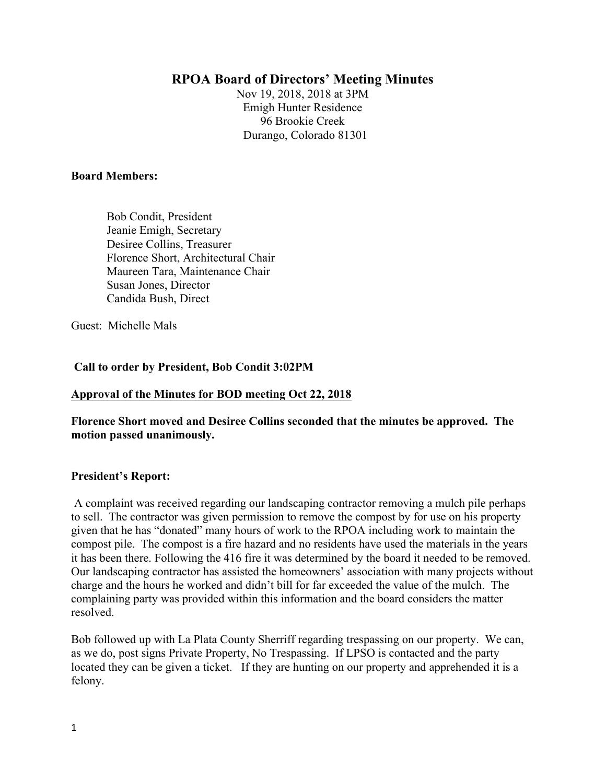# **RPOA Board of Directors' Meeting Minutes**

Nov 19, 2018, 2018 at 3PM Emigh Hunter Residence 96 Brookie Creek Durango, Colorado 81301

#### **Board Members:**

 Bob Condit, President Jeanie Emigh, Secretary Desiree Collins, Treasurer Florence Short, Architectural Chair Maureen Tara, Maintenance Chair Susan Jones, Director Candida Bush, Direct

Guest: Michelle Mals

**Call to order by President, Bob Condit 3:02PM**

### **Approval of the Minutes for BOD meeting Oct 22, 2018**

**Florence Short moved and Desiree Collins seconded that the minutes be approved. The motion passed unanimously.**

### **President's Report:**

A complaint was received regarding our landscaping contractor removing a mulch pile perhaps to sell. The contractor was given permission to remove the compost by for use on his property given that he has "donated" many hours of work to the RPOA including work to maintain the compost pile. The compost is a fire hazard and no residents have used the materials in the years it has been there. Following the 416 fire it was determined by the board it needed to be removed. Our landscaping contractor has assisted the homeowners' association with many projects without charge and the hours he worked and didn't bill for far exceeded the value of the mulch. The complaining party was provided within this information and the board considers the matter resolved.

Bob followed up with La Plata County Sherriff regarding trespassing on our property. We can, as we do, post signs Private Property, No Trespassing. If LPSO is contacted and the party located they can be given a ticket. If they are hunting on our property and apprehended it is a felony.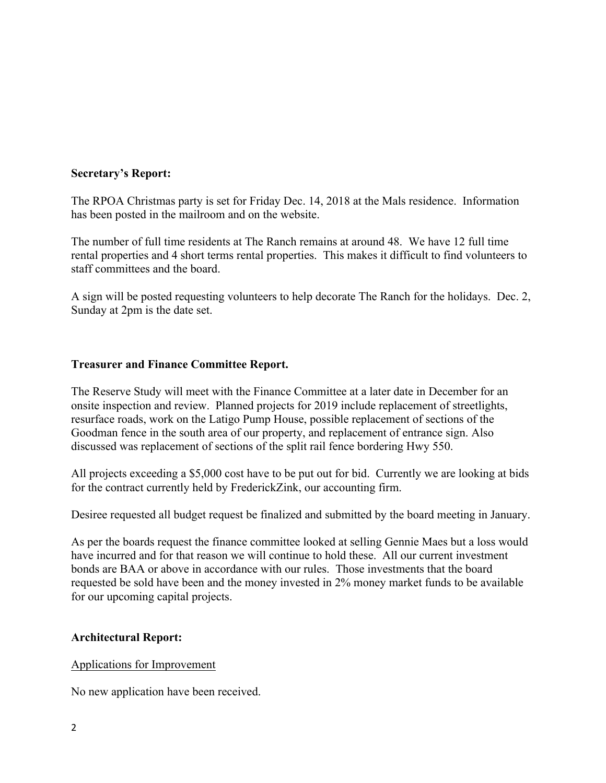## **Secretary's Report:**

The RPOA Christmas party is set for Friday Dec. 14, 2018 at the Mals residence. Information has been posted in the mailroom and on the website.

The number of full time residents at The Ranch remains at around 48. We have 12 full time rental properties and 4 short terms rental properties. This makes it difficult to find volunteers to staff committees and the board.

A sign will be posted requesting volunteers to help decorate The Ranch for the holidays. Dec. 2, Sunday at 2pm is the date set.

## **Treasurer and Finance Committee Report.**

The Reserve Study will meet with the Finance Committee at a later date in December for an onsite inspection and review. Planned projects for 2019 include replacement of streetlights, resurface roads, work on the Latigo Pump House, possible replacement of sections of the Goodman fence in the south area of our property, and replacement of entrance sign. Also discussed was replacement of sections of the split rail fence bordering Hwy 550.

All projects exceeding a \$5,000 cost have to be put out for bid. Currently we are looking at bids for the contract currently held by FrederickZink, our accounting firm.

Desiree requested all budget request be finalized and submitted by the board meeting in January.

As per the boards request the finance committee looked at selling Gennie Maes but a loss would have incurred and for that reason we will continue to hold these. All our current investment bonds are BAA or above in accordance with our rules. Those investments that the board requested be sold have been and the money invested in 2% money market funds to be available for our upcoming capital projects.

## **Architectural Report:**

### Applications for Improvement

No new application have been received.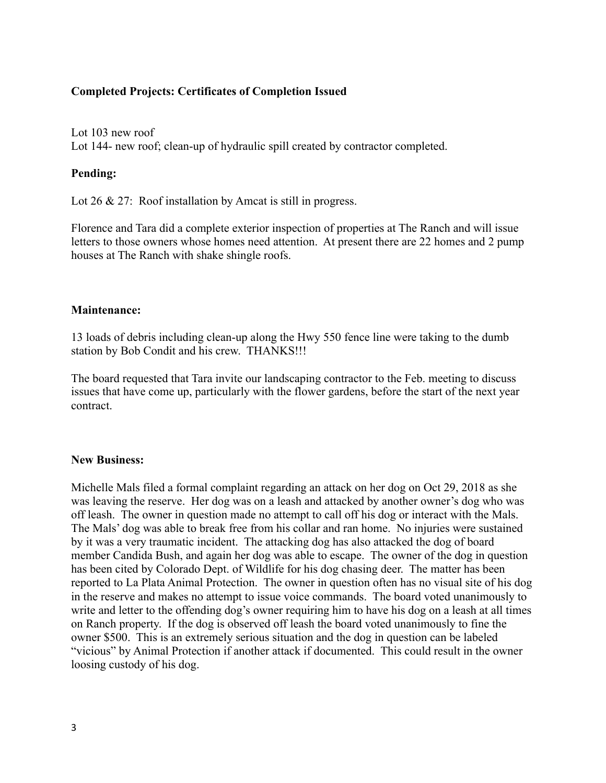### **Completed Projects: Certificates of Completion Issued**

Lot 103 new roof Lot 144- new roof; clean-up of hydraulic spill created by contractor completed.

### **Pending:**

Lot 26 & 27: Roof installation by Amcat is still in progress.

Florence and Tara did a complete exterior inspection of properties at The Ranch and will issue letters to those owners whose homes need attention. At present there are 22 homes and 2 pump houses at The Ranch with shake shingle roofs.

## **Maintenance:**

13 loads of debris including clean-up along the Hwy 550 fence line were taking to the dumb station by Bob Condit and his crew. THANKS!!!

The board requested that Tara invite our landscaping contractor to the Feb. meeting to discuss issues that have come up, particularly with the flower gardens, before the start of the next year contract.

### **New Business:**

Michelle Mals filed a formal complaint regarding an attack on her dog on Oct 29, 2018 as she was leaving the reserve. Her dog was on a leash and attacked by another owner's dog who was off leash. The owner in question made no attempt to call off his dog or interact with the Mals. The Mals' dog was able to break free from his collar and ran home. No injuries were sustained by it was a very traumatic incident. The attacking dog has also attacked the dog of board member Candida Bush, and again her dog was able to escape. The owner of the dog in question has been cited by Colorado Dept. of Wildlife for his dog chasing deer. The matter has been reported to La Plata Animal Protection. The owner in question often has no visual site of his dog in the reserve and makes no attempt to issue voice commands. The board voted unanimously to write and letter to the offending dog's owner requiring him to have his dog on a leash at all times on Ranch property. If the dog is observed off leash the board voted unanimously to fine the owner \$500. This is an extremely serious situation and the dog in question can be labeled "vicious" by Animal Protection if another attack if documented. This could result in the owner loosing custody of his dog.